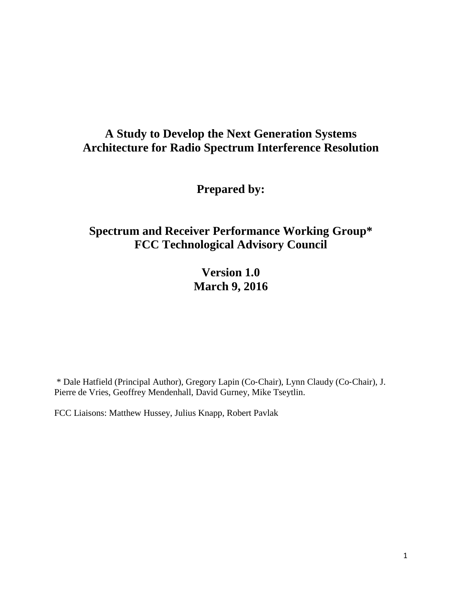# **A Study to Develop the Next Generation Systems Architecture for Radio Spectrum Interference Resolution**

**Prepared by:**

# **Spectrum and Receiver Performance Working Group\* FCC Technological Advisory Council**

**Version 1.0 March 9, 2016**

\* Dale Hatfield (Principal Author), Gregory Lapin (Co‐Chair), Lynn Claudy (Co‐Chair), J. Pierre de Vries, Geoffrey Mendenhall, David Gurney, Mike Tseytlin.

FCC Liaisons: Matthew Hussey, Julius Knapp, Robert Pavlak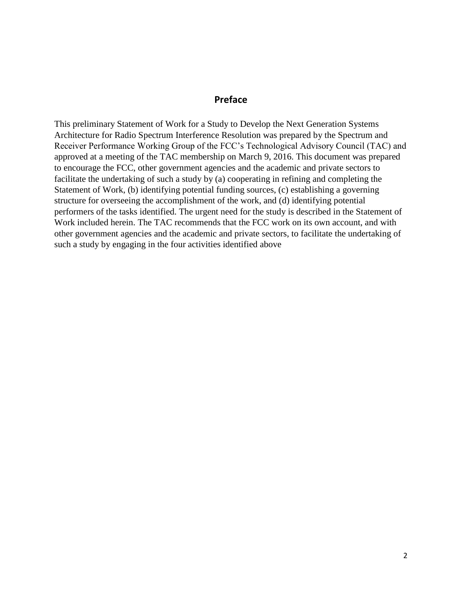#### **Preface**

This preliminary Statement of Work for a Study to Develop the Next Generation Systems Architecture for Radio Spectrum Interference Resolution was prepared by the Spectrum and Receiver Performance Working Group of the FCC's Technological Advisory Council (TAC) and approved at a meeting of the TAC membership on March 9, 2016. This document was prepared to encourage the FCC, other government agencies and the academic and private sectors to facilitate the undertaking of such a study by (a) cooperating in refining and completing the Statement of Work, (b) identifying potential funding sources, (c) establishing a governing structure for overseeing the accomplishment of the work, and (d) identifying potential performers of the tasks identified. The urgent need for the study is described in the Statement of Work included herein. The TAC recommends that the FCC work on its own account, and with other government agencies and the academic and private sectors, to facilitate the undertaking of such a study by engaging in the four activities identified above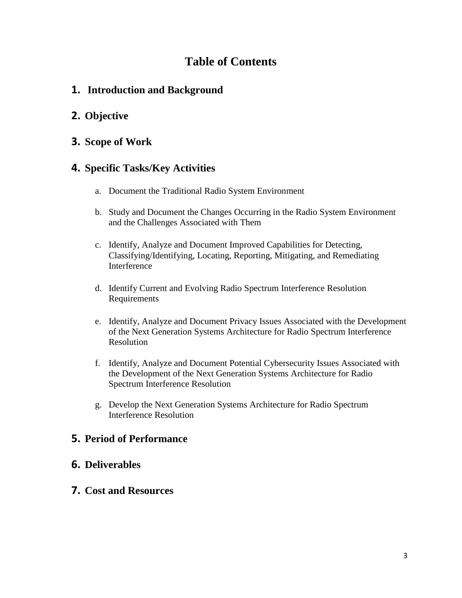# **Table of Contents**

### **1. Introduction and Background**

## **2. Objective**

### **3. Scope of Work**

### **4. Specific Tasks/Key Activities**

- a. Document the Traditional Radio System Environment
- b. Study and Document the Changes Occurring in the Radio System Environment and the Challenges Associated with Them
- c. Identify, Analyze and Document Improved Capabilities for Detecting, Classifying/Identifying, Locating, Reporting, Mitigating, and Remediating Interference
- d. Identify Current and Evolving Radio Spectrum Interference Resolution Requirements
- e. Identify, Analyze and Document Privacy Issues Associated with the Development of the Next Generation Systems Architecture for Radio Spectrum Interference Resolution
- f. Identify, Analyze and Document Potential Cybersecurity Issues Associated with the Development of the Next Generation Systems Architecture for Radio Spectrum Interference Resolution
- g. Develop the Next Generation Systems Architecture for Radio Spectrum Interference Resolution

### **5. Period of Performance**

### **6. Deliverables**

### **7. Cost and Resources**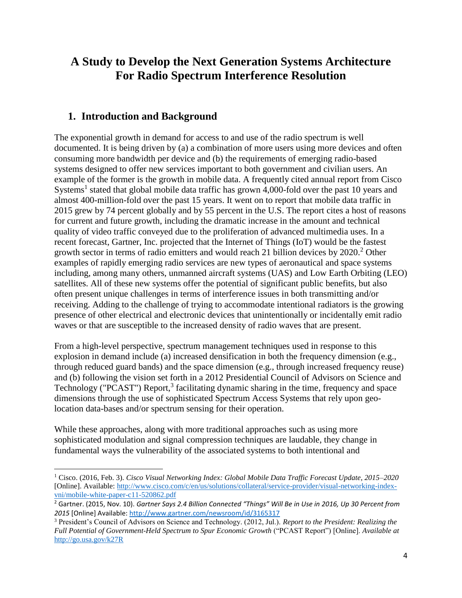# **A Study to Develop the Next Generation Systems Architecture For Radio Spectrum Interference Resolution**

### **1. Introduction and Background**

l

The exponential growth in demand for access to and use of the radio spectrum is well documented. It is being driven by (a) a combination of more users using more devices and often consuming more bandwidth per device and (b) the requirements of emerging radio-based systems designed to offer new services important to both government and civilian users. An example of the former is the growth in mobile data. A frequently cited annual report from Cisco Systems<sup>1</sup> stated that global mobile data traffic has grown 4,000-fold over the past 10 years and almost 400-million-fold over the past 15 years. It went on to report that mobile data traffic in 2015 grew by 74 percent globally and by 55 percent in the U.S. The report cites a host of reasons for current and future growth, including the dramatic increase in the amount and technical quality of video traffic conveyed due to the proliferation of advanced multimedia uses. In a recent forecast, Gartner, Inc. projected that the Internet of Things (IoT) would be the fastest growth sector in terms of radio emitters and would reach 21 billion devices by  $2020$ <sup>2</sup> Other examples of rapidly emerging radio services are new types of aeronautical and space systems including, among many others, unmanned aircraft systems (UAS) and Low Earth Orbiting (LEO) satellites. All of these new systems offer the potential of significant public benefits, but also often present unique challenges in terms of interference issues in both transmitting and/or receiving. Adding to the challenge of trying to accommodate intentional radiators is the growing presence of other electrical and electronic devices that unintentionally or incidentally emit radio waves or that are susceptible to the increased density of radio waves that are present.

From a high-level perspective, spectrum management techniques used in response to this explosion in demand include (a) increased densification in both the frequency dimension (e.g., through reduced guard bands) and the space dimension (e.g., through increased frequency reuse) and (b) following the vision set forth in a 2012 Presidential Council of Advisors on Science and Technology ("PCAST") Report,<sup>3</sup> facilitating dynamic sharing in the time, frequency and space dimensions through the use of sophisticated Spectrum Access Systems that rely upon geolocation data-bases and/or spectrum sensing for their operation.

While these approaches, along with more traditional approaches such as using more sophisticated modulation and signal compression techniques are laudable, they change in fundamental ways the vulnerability of the associated systems to both intentional and

<sup>1</sup> Cisco. (2016, Feb. 3). *Cisco Visual Networking Index: Global Mobile Data Traffic Forecast Update, 2015–2020*  [Online]. Available: [http://www.cisco.com/c/en/us/solutions/collateral/service-provider/visual-networking-index](http://www.cisco.com/c/en/us/solutions/collateral/service-provider/visual-networking-index-vni/mobile-white-paper-c11-520862.pdf)[vni/mobile-white-paper-c11-520862.pdf](http://www.cisco.com/c/en/us/solutions/collateral/service-provider/visual-networking-index-vni/mobile-white-paper-c11-520862.pdf)

<sup>2</sup> Gartner. (2015, Nov. 10). *Gartner Says 2.4 Billion Connected "Things" Will Be in Use in 2016, Up 30 Percent from 2015* [Online] Available: <http://www.gartner.com/newsroom/id/3165317>

<sup>3</sup> President's Council of Advisors on Science and Technology. (2012, Jul.). *Report to the President: Realizing the Full Potential of Government-Held Spectrum to Spur Economic Growth* ("PCAST Report") [Online]. *Available at*  <http://go.usa.gov/k27R>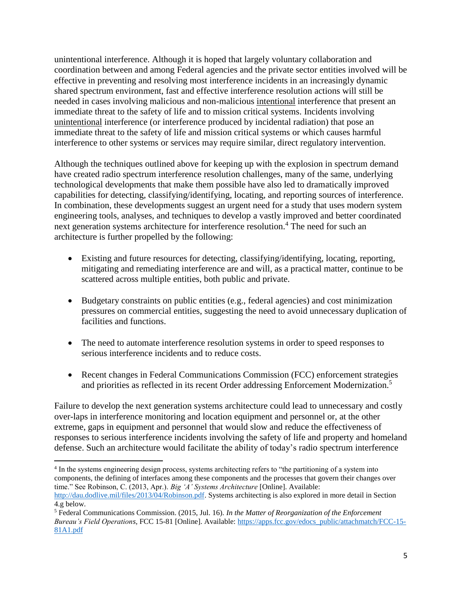unintentional interference. Although it is hoped that largely voluntary collaboration and coordination between and among Federal agencies and the private sector entities involved will be effective in preventing and resolving most interference incidents in an increasingly dynamic shared spectrum environment, fast and effective interference resolution actions will still be needed in cases involving malicious and non-malicious intentional interference that present an immediate threat to the safety of life and to mission critical systems. Incidents involving unintentional interference (or interference produced by incidental radiation) that pose an immediate threat to the safety of life and mission critical systems or which causes harmful interference to other systems or services may require similar, direct regulatory intervention.

Although the techniques outlined above for keeping up with the explosion in spectrum demand have created radio spectrum interference resolution challenges, many of the same, underlying technological developments that make them possible have also led to dramatically improved capabilities for detecting, classifying/identifying, locating, and reporting sources of interference. In combination, these developments suggest an urgent need for a study that uses modern system engineering tools, analyses, and techniques to develop a vastly improved and better coordinated next generation systems architecture for interference resolution. <sup>4</sup> The need for such an architecture is further propelled by the following:

- Existing and future resources for detecting, classifying/identifying, locating, reporting, mitigating and remediating interference are and will, as a practical matter, continue to be scattered across multiple entities, both public and private.
- Budgetary constraints on public entities (e.g., federal agencies) and cost minimization pressures on commercial entities, suggesting the need to avoid unnecessary duplication of facilities and functions.
- The need to automate interference resolution systems in order to speed responses to serious interference incidents and to reduce costs.
- Recent changes in Federal Communications Commission (FCC) enforcement strategies and priorities as reflected in its recent Order addressing Enforcement Modernization.<sup>5</sup>

Failure to develop the next generation systems architecture could lead to unnecessary and costly over-laps in interference monitoring and location equipment and personnel or, at the other extreme, gaps in equipment and personnel that would slow and reduce the effectiveness of responses to serious interference incidents involving the safety of life and property and homeland defense. Such an architecture would facilitate the ability of today's radio spectrum interference

 $\overline{\phantom{a}}$ 4 In the systems engineering design process, systems architecting refers to "the partitioning of a system into components, the defining of interfaces among these components and the processes that govern their changes over time." See Robinson, C. (2013, Apr.). *Big 'A' Systems Architecture* [Online]. Available: [http://dau.dodlive.mil/files/2013/04/Robinson.pdf.](http://dau.dodlive.mil/files/2013/04/Robinson.pdf) Systems architecting is also explored in more detail in Section 4.g below.

<sup>5</sup> Federal Communications Commission. (2015, Jul. 16). *In the Matter of Reorganization of the Enforcement Bureau's Field Operations,* FCC 15-81 [Online]. Available: [https://apps.fcc.gov/edocs\\_public/attachmatch/FCC-15-](https://apps.fcc.gov/edocs_public/attachmatch/FCC-15-81A1.pdf) [81A1.pdf](https://apps.fcc.gov/edocs_public/attachmatch/FCC-15-81A1.pdf)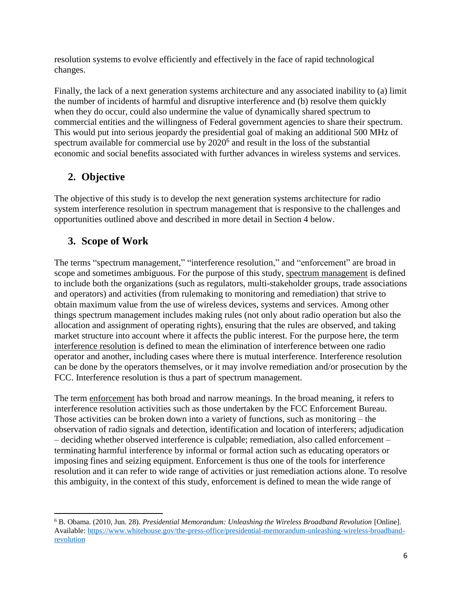resolution systems to evolve efficiently and effectively in the face of rapid technological changes.

Finally, the lack of a next generation systems architecture and any associated inability to (a) limit the number of incidents of harmful and disruptive interference and (b) resolve them quickly when they do occur, could also undermine the value of dynamically shared spectrum to commercial entities and the willingness of Federal government agencies to share their spectrum. This would put into serious jeopardy the presidential goal of making an additional 500 MHz of spectrum available for commercial use by  $2020<sup>6</sup>$  and result in the loss of the substantial economic and social benefits associated with further advances in wireless systems and services.

# **2. Objective**

The objective of this study is to develop the next generation systems architecture for radio system interference resolution in spectrum management that is responsive to the challenges and opportunities outlined above and described in more detail in Section 4 below.

## **3. Scope of Work**

 $\overline{\phantom{a}}$ 

The terms "spectrum management," "interference resolution," and "enforcement" are broad in scope and sometimes ambiguous. For the purpose of this study, spectrum management is defined to include both the organizations (such as regulators, multi-stakeholder groups, trade associations and operators) and activities (from rulemaking to monitoring and remediation) that strive to obtain maximum value from the use of wireless devices, systems and services. Among other things spectrum management includes making rules (not only about radio operation but also the allocation and assignment of operating rights), ensuring that the rules are observed, and taking market structure into account where it affects the public interest. For the purpose here, the term interference resolution is defined to mean the elimination of interference between one radio operator and another, including cases where there is mutual interference. Interference resolution can be done by the operators themselves, or it may involve remediation and/or prosecution by the FCC. Interference resolution is thus a part of spectrum management.

The term enforcement has both broad and narrow meanings. In the broad meaning, it refers to interference resolution activities such as those undertaken by the FCC Enforcement Bureau. Those activities can be broken down into a variety of functions, such as monitoring – the observation of radio signals and detection, identification and location of interferers; adjudication – deciding whether observed interference is culpable; remediation, also called enforcement – terminating harmful interference by informal or formal action such as educating operators or imposing fines and seizing equipment. Enforcement is thus one of the tools for interference resolution and it can refer to wide range of activities or just remediation actions alone. To resolve this ambiguity, in the context of this study, enforcement is defined to mean the wide range of

<sup>6</sup> B. Obama. (2010, Jun. 28). *Presidential Memorandum: Unleashing the Wireless Broadband Revolution* [Online]. Available: [https://www.whitehouse.gov/the-press-office/presidential-memorandum-unleashing-wireless-broadband](https://www.whitehouse.gov/the-press-office/presidential-memorandum-unleashing-wireless-broadband-revolution)[revolution](https://www.whitehouse.gov/the-press-office/presidential-memorandum-unleashing-wireless-broadband-revolution)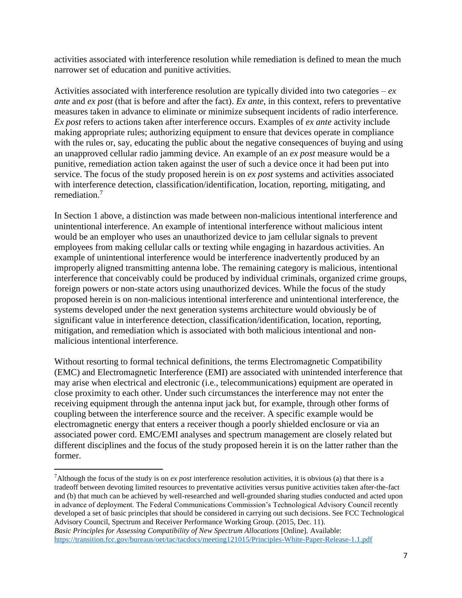activities associated with interference resolution while remediation is defined to mean the much narrower set of education and punitive activities.

Activities associated with interference resolution are typically divided into two categories – *ex ante* and *ex post* (that is before and after the fact). *Ex ante*, in this context, refers to preventative measures taken in advance to eliminate or minimize subsequent incidents of radio interference. *Ex post* refers to actions taken after interference occurs. Examples of *ex ante* activity include making appropriate rules; authorizing equipment to ensure that devices operate in compliance with the rules or, say, educating the public about the negative consequences of buying and using an unapproved cellular radio jamming device. An example of an *ex post* measure would be a punitive, remediation action taken against the user of such a device once it had been put into service. The focus of the study proposed herein is on *ex post* systems and activities associated with interference detection, classification/identification, location, reporting, mitigating, and remediation. 7

In Section 1 above, a distinction was made between non-malicious intentional interference and unintentional interference. An example of intentional interference without malicious intent would be an employer who uses an unauthorized device to jam cellular signals to prevent employees from making cellular calls or texting while engaging in hazardous activities. An example of unintentional interference would be interference inadvertently produced by an improperly aligned transmitting antenna lobe. The remaining category is malicious, intentional interference that conceivably could be produced by individual criminals, organized crime groups, foreign powers or non-state actors using unauthorized devices. While the focus of the study proposed herein is on non-malicious intentional interference and unintentional interference, the systems developed under the next generation systems architecture would obviously be of significant value in interference detection, classification/identification, location, reporting, mitigation, and remediation which is associated with both malicious intentional and nonmalicious intentional interference.

Without resorting to formal technical definitions, the terms Electromagnetic Compatibility (EMC) and Electromagnetic Interference (EMI) are associated with unintended interference that may arise when electrical and electronic (i.e., telecommunications) equipment are operated in close proximity to each other. Under such circumstances the interference may not enter the receiving equipment through the antenna input jack but, for example, through other forms of coupling between the interference source and the receiver. A specific example would be electromagnetic energy that enters a receiver though a poorly shielded enclosure or via an associated power cord. EMC/EMI analyses and spectrum management are closely related but different disciplines and the focus of the study proposed herein it is on the latter rather than the former.

<sup>&</sup>lt;sup>7</sup>Although the focus of the study is on *ex post* interference resolution activities, it is obvious (a) that there is a tradeoff between devoting limited resources to preventative activities versus punitive activities taken after-the-fact and (b) that much can be achieved by well-researched and well-grounded sharing studies conducted and acted upon in advance of deployment. The Federal Communications Commission's Technological Advisory Council recently developed a set of basic principles that should be considered in carrying out such decisions. See FCC Technological Advisory Council, Spectrum and Receiver Performance Working Group. (2015, Dec. 11). *Basic Principles for Assessing Compatibility of New Spectrum Allocations* [Online]. Available:

<https://transition.fcc.gov/bureaus/oet/tac/tacdocs/meeting121015/Principles-White-Paper-Release-1.1.pdf>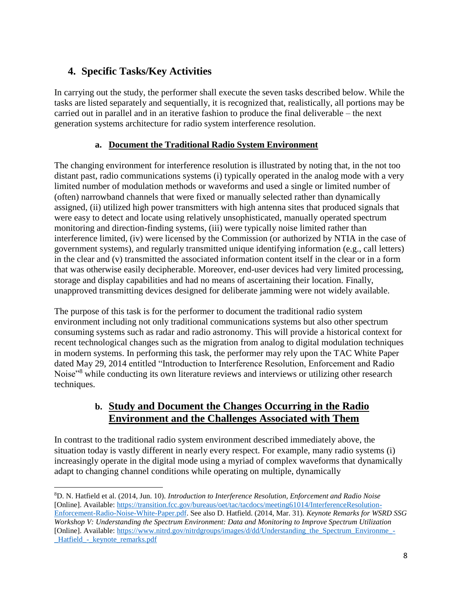# **4. Specific Tasks/Key Activities**

l

In carrying out the study, the performer shall execute the seven tasks described below. While the tasks are listed separately and sequentially, it is recognized that, realistically, all portions may be carried out in parallel and in an iterative fashion to produce the final deliverable – the next generation systems architecture for radio system interference resolution.

### **a. Document the Traditional Radio System Environment**

The changing environment for interference resolution is illustrated by noting that, in the not too distant past, radio communications systems (i) typically operated in the analog mode with a very limited number of modulation methods or waveforms and used a single or limited number of (often) narrowband channels that were fixed or manually selected rather than dynamically assigned, (ii) utilized high power transmitters with high antenna sites that produced signals that were easy to detect and locate using relatively unsophisticated, manually operated spectrum monitoring and direction-finding systems, (iii) were typically noise limited rather than interference limited, (iv) were licensed by the Commission (or authorized by NTIA in the case of government systems), and regularly transmitted unique identifying information (e.g., call letters) in the clear and (v) transmitted the associated information content itself in the clear or in a form that was otherwise easily decipherable. Moreover, end-user devices had very limited processing, storage and display capabilities and had no means of ascertaining their location. Finally, unapproved transmitting devices designed for deliberate jamming were not widely available.

The purpose of this task is for the performer to document the traditional radio system environment including not only traditional communications systems but also other spectrum consuming systems such as radar and radio astronomy. This will provide a historical context for recent technological changes such as the migration from analog to digital modulation techniques in modern systems. In performing this task, the performer may rely upon the TAC White Paper dated May 29, 2014 entitled "Introduction to Interference Resolution, Enforcement and Radio Noise"<sup>8</sup> while conducting its own literature reviews and interviews or utilizing other research techniques.

### **b. Study and Document the Changes Occurring in the Radio Environment and the Challenges Associated with Them**

In contrast to the traditional radio system environment described immediately above, the situation today is vastly different in nearly every respect. For example, many radio systems (i) increasingly operate in the digital mode using a myriad of complex waveforms that dynamically adapt to changing channel conditions while operating on multiple, dynamically

<sup>8</sup>D. N. Hatfield et al. (2014, Jun. 10). *Introduction to Interference Resolution, Enforcement and Radio Noise* [Online]. Available: [https://transition.fcc.gov/bureaus/oet/tac/tacdocs/meeting61014/InterferenceResolution-](https://transition.fcc.gov/bureaus/oet/tac/tacdocs/meeting61014/InterferenceResolution-Enforcement-Radio-Noise-White-Paper.pdf)[Enforcement-Radio-Noise-White-Paper.pdf.](https://transition.fcc.gov/bureaus/oet/tac/tacdocs/meeting61014/InterferenceResolution-Enforcement-Radio-Noise-White-Paper.pdf) See also D. Hatfield. (2014, Mar. 31). *Keynote Remarks for WSRD SSG Workshop V: Understanding the Spectrum Environment: Data and Monitoring to Improve Spectrum Utilization*  [Online]. Available: [https://www.nitrd.gov/nitrdgroups/images/d/dd/Understanding\\_the\\_Spectrum\\_Environme\\_-](https://www.nitrd.gov/nitrdgroups/images/d/dd/Understanding_the_Spectrum_Environme_-_Hatfield_-_keynote_remarks.pdf) Hatfield - keynote remarks.pdf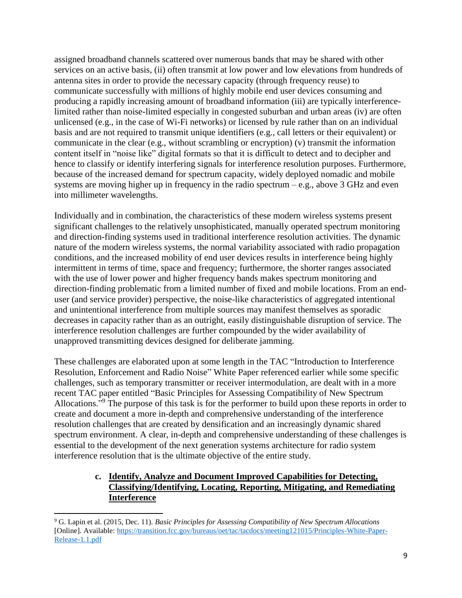assigned broadband channels scattered over numerous bands that may be shared with other services on an active basis, (ii) often transmit at low power and low elevations from hundreds of antenna sites in order to provide the necessary capacity (through frequency reuse) to communicate successfully with millions of highly mobile end user devices consuming and producing a rapidly increasing amount of broadband information (iii) are typically interferencelimited rather than noise-limited especially in congested suburban and urban areas (iv) are often unlicensed (e.g., in the case of Wi-Fi networks) or licensed by rule rather than on an individual basis and are not required to transmit unique identifiers (e.g., call letters or their equivalent) or communicate in the clear (e.g., without scrambling or encryption) (v) transmit the information content itself in "noise like" digital formats so that it is difficult to detect and to decipher and hence to classify or identify interfering signals for interference resolution purposes. Furthermore, because of the increased demand for spectrum capacity, widely deployed nomadic and mobile systems are moving higher up in frequency in the radio spectrum  $-e.g.,$  above 3 GHz and even into millimeter wavelengths.

Individually and in combination, the characteristics of these modern wireless systems present significant challenges to the relatively unsophisticated, manually operated spectrum monitoring and direction-finding systems used in traditional interference resolution activities. The dynamic nature of the modern wireless systems, the normal variability associated with radio propagation conditions, and the increased mobility of end user devices results in interference being highly intermittent in terms of time, space and frequency; furthermore, the shorter ranges associated with the use of lower power and higher frequency bands makes spectrum monitoring and direction-finding problematic from a limited number of fixed and mobile locations. From an enduser (and service provider) perspective, the noise-like characteristics of aggregated intentional and unintentional interference from multiple sources may manifest themselves as sporadic decreases in capacity rather than as an outright, easily distinguishable disruption of service. The interference resolution challenges are further compounded by the wider availability of unapproved transmitting devices designed for deliberate jamming.

These challenges are elaborated upon at some length in the TAC "Introduction to Interference Resolution, Enforcement and Radio Noise" White Paper referenced earlier while some specific challenges, such as temporary transmitter or receiver intermodulation, are dealt with in a more recent TAC paper entitled "Basic Principles for Assessing Compatibility of New Spectrum Allocations."<sup>9</sup> The purpose of this task is for the performer to build upon these reports in order to create and document a more in-depth and comprehensive understanding of the interference resolution challenges that are created by densification and an increasingly dynamic shared spectrum environment. A clear, in-depth and comprehensive understanding of these challenges is essential to the development of the next generation systems architecture for radio system interference resolution that is the ultimate objective of the entire study.

#### **c. Identify, Analyze and Document Improved Capabilities for Detecting, Classifying/Identifying, Locating, Reporting, Mitigating, and Remediating Interference**

 $\overline{\phantom{a}}$ <sup>9</sup> G. Lapin et al. (2015, Dec. 11). *Basic Principles for Assessing Compatibility of New Spectrum Allocations* [Online]. Available: [https://transition.fcc.gov/bureaus/oet/tac/tacdocs/meeting121015/Principles-White-Paper-](https://transition.fcc.gov/bureaus/oet/tac/tacdocs/meeting121015/Principles-White-Paper-Release-1.1.pdf)[Release-1.1.pdf](https://transition.fcc.gov/bureaus/oet/tac/tacdocs/meeting121015/Principles-White-Paper-Release-1.1.pdf)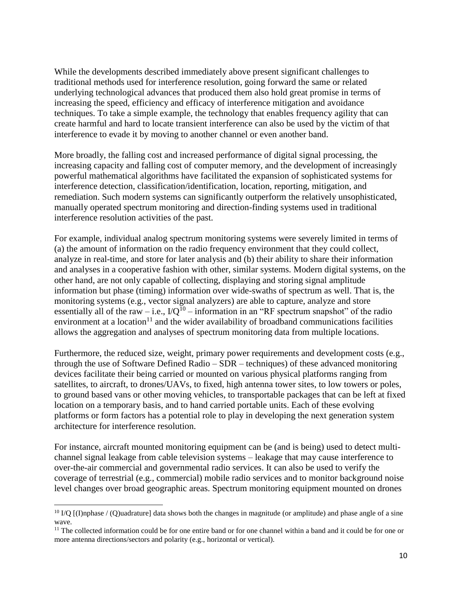While the developments described immediately above present significant challenges to traditional methods used for interference resolution, going forward the same or related underlying technological advances that produced them also hold great promise in terms of increasing the speed, efficiency and efficacy of interference mitigation and avoidance techniques. To take a simple example, the technology that enables frequency agility that can create harmful and hard to locate transient interference can also be used by the victim of that interference to evade it by moving to another channel or even another band.

More broadly, the falling cost and increased performance of digital signal processing, the increasing capacity and falling cost of computer memory, and the development of increasingly powerful mathematical algorithms have facilitated the expansion of sophisticated systems for interference detection, classification/identification, location, reporting, mitigation, and remediation. Such modern systems can significantly outperform the relatively unsophisticated, manually operated spectrum monitoring and direction-finding systems used in traditional interference resolution activities of the past.

For example, individual analog spectrum monitoring systems were severely limited in terms of (a) the amount of information on the radio frequency environment that they could collect, analyze in real-time, and store for later analysis and (b) their ability to share their information and analyses in a cooperative fashion with other, similar systems. Modern digital systems, on the other hand, are not only capable of collecting, displaying and storing signal amplitude information but phase (timing) information over wide-swaths of spectrum as well. That is, the monitoring systems (e.g., vector signal analyzers) are able to capture, analyze and store essentially all of the raw – i.e.,  $I/Q^{10}$  – information in an "RF spectrum snapshot" of the radio environment at a location<sup>11</sup> and the wider availability of broadband communications facilities allows the aggregation and analyses of spectrum monitoring data from multiple locations.

Furthermore, the reduced size, weight, primary power requirements and development costs (e.g., through the use of Software Defined Radio – SDR – techniques) of these advanced monitoring devices facilitate their being carried or mounted on various physical platforms ranging from satellites, to aircraft, to drones/UAVs, to fixed, high antenna tower sites, to low towers or poles, to ground based vans or other moving vehicles, to transportable packages that can be left at fixed location on a temporary basis, and to hand carried portable units. Each of these evolving platforms or form factors has a potential role to play in developing the next generation system architecture for interference resolution.

For instance, aircraft mounted monitoring equipment can be (and is being) used to detect multichannel signal leakage from cable television systems – leakage that may cause interference to over-the-air commercial and governmental radio services. It can also be used to verify the coverage of terrestrial (e.g., commercial) mobile radio services and to monitor background noise level changes over broad geographic areas. Spectrum monitoring equipment mounted on drones

<sup>&</sup>lt;sup>10</sup> I/Q  $[(I)$ nphase / (Q)uadrature] data shows both the changes in magnitude (or amplitude) and phase angle of a sine wave.

<sup>&</sup>lt;sup>11</sup> The collected information could be for one entire band or for one channel within a band and it could be for one or more antenna directions/sectors and polarity (e.g., horizontal or vertical).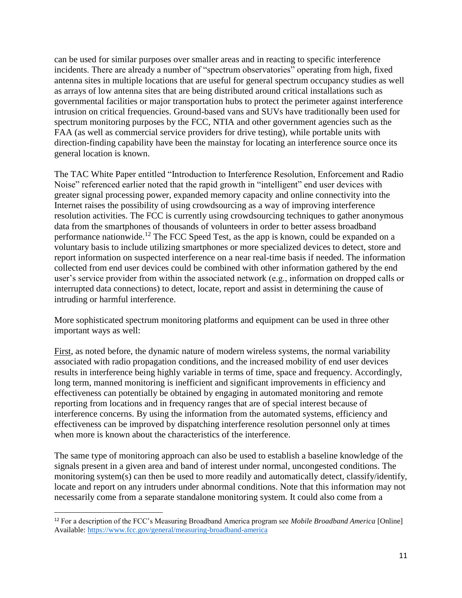can be used for similar purposes over smaller areas and in reacting to specific interference incidents. There are already a number of "spectrum observatories" operating from high, fixed antenna sites in multiple locations that are useful for general spectrum occupancy studies as well as arrays of low antenna sites that are being distributed around critical installations such as governmental facilities or major transportation hubs to protect the perimeter against interference intrusion on critical frequencies. Ground-based vans and SUVs have traditionally been used for spectrum monitoring purposes by the FCC, NTIA and other government agencies such as the FAA (as well as commercial service providers for drive testing), while portable units with direction-finding capability have been the mainstay for locating an interference source once its general location is known.

The TAC White Paper entitled "Introduction to Interference Resolution, Enforcement and Radio Noise" referenced earlier noted that the rapid growth in "intelligent" end user devices with greater signal processing power, expanded memory capacity and online connectivity into the Internet raises the possibility of using crowdsourcing as a way of improving interference resolution activities. The FCC is currently using crowdsourcing techniques to gather anonymous data from the smartphones of thousands of volunteers in order to better assess broadband performance nationwide.<sup>12</sup> The FCC Speed Test, as the app is known, could be expanded on a voluntary basis to include utilizing smartphones or more specialized devices to detect, store and report information on suspected interference on a near real-time basis if needed. The information collected from end user devices could be combined with other information gathered by the end user's service provider from within the associated network (e.g., information on dropped calls or interrupted data connections) to detect, locate, report and assist in determining the cause of intruding or harmful interference.

More sophisticated spectrum monitoring platforms and equipment can be used in three other important ways as well:

First, as noted before, the dynamic nature of modern wireless systems, the normal variability associated with radio propagation conditions, and the increased mobility of end user devices results in interference being highly variable in terms of time, space and frequency. Accordingly, long term, manned monitoring is inefficient and significant improvements in efficiency and effectiveness can potentially be obtained by engaging in automated monitoring and remote reporting from locations and in frequency ranges that are of special interest because of interference concerns. By using the information from the automated systems, efficiency and effectiveness can be improved by dispatching interference resolution personnel only at times when more is known about the characteristics of the interference.

The same type of monitoring approach can also be used to establish a baseline knowledge of the signals present in a given area and band of interest under normal, uncongested conditions. The monitoring system(s) can then be used to more readily and automatically detect, classify/identify, locate and report on any intruders under abnormal conditions. Note that this information may not necessarily come from a separate standalone monitoring system. It could also come from a

<sup>12</sup> For a description of the FCC's Measuring Broadband America program see *Mobile Broadband America* [Online] Available:<https://www.fcc.gov/general/measuring-broadband-america>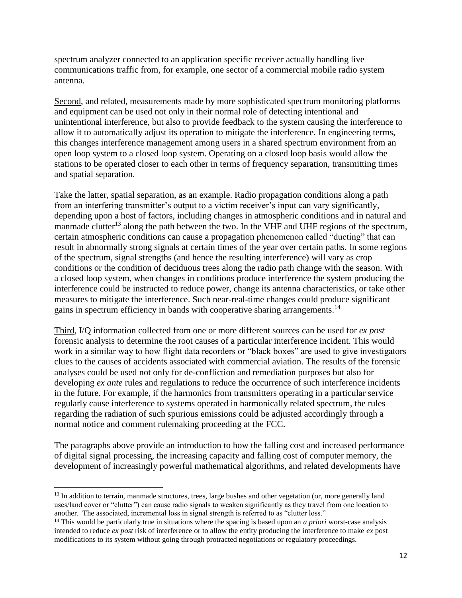spectrum analyzer connected to an application specific receiver actually handling live communications traffic from, for example, one sector of a commercial mobile radio system antenna.

Second, and related, measurements made by more sophisticated spectrum monitoring platforms and equipment can be used not only in their normal role of detecting intentional and unintentional interference, but also to provide feedback to the system causing the interference to allow it to automatically adjust its operation to mitigate the interference. In engineering terms, this changes interference management among users in a shared spectrum environment from an open loop system to a closed loop system. Operating on a closed loop basis would allow the stations to be operated closer to each other in terms of frequency separation, transmitting times and spatial separation.

Take the latter, spatial separation, as an example. Radio propagation conditions along a path from an interfering transmitter's output to a victim receiver's input can vary significantly, depending upon a host of factors, including changes in atmospheric conditions and in natural and manmade clutter<sup>13</sup> along the path between the two. In the VHF and UHF regions of the spectrum, certain atmospheric conditions can cause a propagation phenomenon called "ducting" that can result in abnormally strong signals at certain times of the year over certain paths. In some regions of the spectrum, signal strengths (and hence the resulting interference) will vary as crop conditions or the condition of deciduous trees along the radio path change with the season. With a closed loop system, when changes in conditions produce interference the system producing the interference could be instructed to reduce power, change its antenna characteristics, or take other measures to mitigate the interference. Such near-real-time changes could produce significant gains in spectrum efficiency in bands with cooperative sharing arrangements.<sup>14</sup>

Third, I/Q information collected from one or more different sources can be used for *ex post* forensic analysis to determine the root causes of a particular interference incident. This would work in a similar way to how flight data recorders or "black boxes" are used to give investigators clues to the causes of accidents associated with commercial aviation. The results of the forensic analyses could be used not only for de-confliction and remediation purposes but also for developing *ex ante* rules and regulations to reduce the occurrence of such interference incidents in the future. For example, if the harmonics from transmitters operating in a particular service regularly cause interference to systems operated in harmonically related spectrum, the rules regarding the radiation of such spurious emissions could be adjusted accordingly through a normal notice and comment rulemaking proceeding at the FCC.

The paragraphs above provide an introduction to how the falling cost and increased performance of digital signal processing, the increasing capacity and falling cost of computer memory, the development of increasingly powerful mathematical algorithms, and related developments have

l

<sup>&</sup>lt;sup>13</sup> In addition to terrain, manmade structures, trees, large bushes and other vegetation (or, more generally land uses/land cover or "clutter") can cause radio signals to weaken significantly as they travel from one location to another. The associated, incremental loss in signal strength is referred to as "clutter loss."

<sup>14</sup> This would be particularly true in situations where the spacing is based upon an *a priori* worst-case analysis intended to reduce *ex post* risk of interference or to allow the entity producing the interference to make *ex* post modifications to its system without going through protracted negotiations or regulatory proceedings.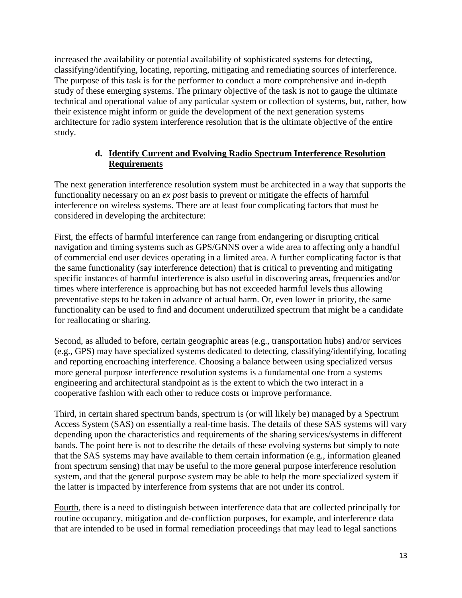increased the availability or potential availability of sophisticated systems for detecting, classifying/identifying, locating, reporting, mitigating and remediating sources of interference. The purpose of this task is for the performer to conduct a more comprehensive and in-depth study of these emerging systems. The primary objective of the task is not to gauge the ultimate technical and operational value of any particular system or collection of systems, but, rather, how their existence might inform or guide the development of the next generation systems architecture for radio system interference resolution that is the ultimate objective of the entire study.

#### **d. Identify Current and Evolving Radio Spectrum Interference Resolution Requirements**

The next generation interference resolution system must be architected in a way that supports the functionality necessary on an *ex post* basis to prevent or mitigate the effects of harmful interference on wireless systems. There are at least four complicating factors that must be considered in developing the architecture:

First, the effects of harmful interference can range from endangering or disrupting critical navigation and timing systems such as GPS/GNNS over a wide area to affecting only a handful of commercial end user devices operating in a limited area. A further complicating factor is that the same functionality (say interference detection) that is critical to preventing and mitigating specific instances of harmful interference is also useful in discovering areas, frequencies and/or times where interference is approaching but has not exceeded harmful levels thus allowing preventative steps to be taken in advance of actual harm. Or, even lower in priority, the same functionality can be used to find and document underutilized spectrum that might be a candidate for reallocating or sharing.

Second, as alluded to before, certain geographic areas (e.g., transportation hubs) and/or services (e.g., GPS) may have specialized systems dedicated to detecting, classifying/identifying, locating and reporting encroaching interference. Choosing a balance between using specialized versus more general purpose interference resolution systems is a fundamental one from a systems engineering and architectural standpoint as is the extent to which the two interact in a cooperative fashion with each other to reduce costs or improve performance.

Third, in certain shared spectrum bands, spectrum is (or will likely be) managed by a Spectrum Access System (SAS) on essentially a real-time basis. The details of these SAS systems will vary depending upon the characteristics and requirements of the sharing services/systems in different bands. The point here is not to describe the details of these evolving systems but simply to note that the SAS systems may have available to them certain information (e.g., information gleaned from spectrum sensing) that may be useful to the more general purpose interference resolution system, and that the general purpose system may be able to help the more specialized system if the latter is impacted by interference from systems that are not under its control.

Fourth, there is a need to distinguish between interference data that are collected principally for routine occupancy, mitigation and de-confliction purposes, for example, and interference data that are intended to be used in formal remediation proceedings that may lead to legal sanctions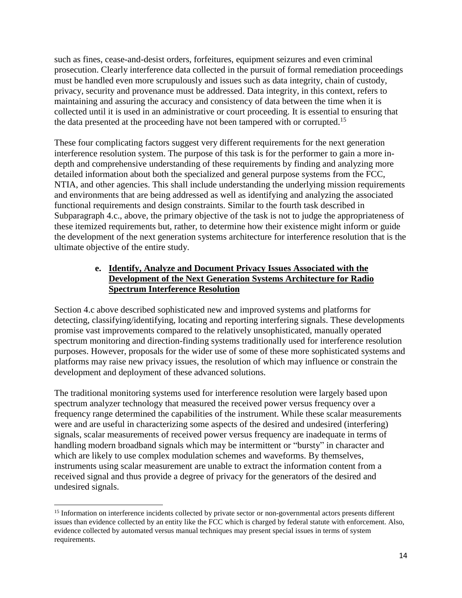such as fines, cease-and-desist orders, forfeitures, equipment seizures and even criminal prosecution. Clearly interference data collected in the pursuit of formal remediation proceedings must be handled even more scrupulously and issues such as data integrity, chain of custody, privacy, security and provenance must be addressed. Data integrity, in this context, refers to maintaining and assuring the accuracy and consistency of data between the time when it is collected until it is used in an administrative or court proceeding. It is essential to ensuring that the data presented at the proceeding have not been tampered with or corrupted.<sup>15</sup>

These four complicating factors suggest very different requirements for the next generation interference resolution system. The purpose of this task is for the performer to gain a more indepth and comprehensive understanding of these requirements by finding and analyzing more detailed information about both the specialized and general purpose systems from the FCC, NTIA, and other agencies. This shall include understanding the underlying mission requirements and environments that are being addressed as well as identifying and analyzing the associated functional requirements and design constraints. Similar to the fourth task described in Subparagraph 4.c., above, the primary objective of the task is not to judge the appropriateness of these itemized requirements but, rather, to determine how their existence might inform or guide the development of the next generation systems architecture for interference resolution that is the ultimate objective of the entire study.

#### **e. Identify, Analyze and Document Privacy Issues Associated with the Development of the Next Generation Systems Architecture for Radio Spectrum Interference Resolution**

Section 4.c above described sophisticated new and improved systems and platforms for detecting, classifying/identifying, locating and reporting interfering signals. These developments promise vast improvements compared to the relatively unsophisticated, manually operated spectrum monitoring and direction-finding systems traditionally used for interference resolution purposes. However, proposals for the wider use of some of these more sophisticated systems and platforms may raise new privacy issues, the resolution of which may influence or constrain the development and deployment of these advanced solutions.

The traditional monitoring systems used for interference resolution were largely based upon spectrum analyzer technology that measured the received power versus frequency over a frequency range determined the capabilities of the instrument. While these scalar measurements were and are useful in characterizing some aspects of the desired and undesired (interfering) signals, scalar measurements of received power versus frequency are inadequate in terms of handling modern broadband signals which may be intermittent or "bursty" in character and which are likely to use complex modulation schemes and waveforms. By themselves, instruments using scalar measurement are unable to extract the information content from a received signal and thus provide a degree of privacy for the generators of the desired and undesired signals.

<sup>&</sup>lt;sup>15</sup> Information on interference incidents collected by private sector or non-governmental actors presents different issues than evidence collected by an entity like the FCC which is charged by federal statute with enforcement. Also, evidence collected by automated versus manual techniques may present special issues in terms of system requirements.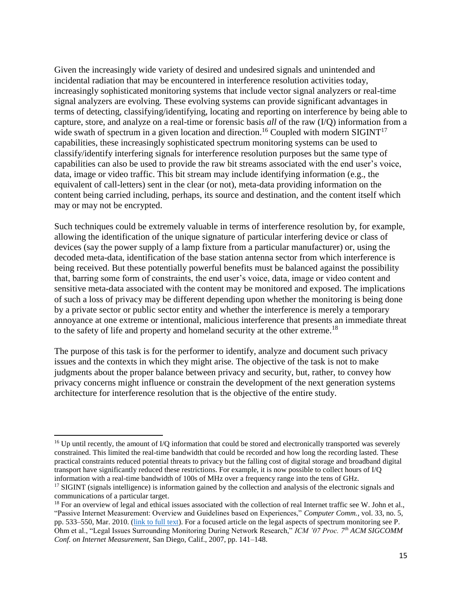Given the increasingly wide variety of desired and undesired signals and unintended and incidental radiation that may be encountered in interference resolution activities today, increasingly sophisticated monitoring systems that include vector signal analyzers or real-time signal analyzers are evolving. These evolving systems can provide significant advantages in terms of detecting, classifying/identifying, locating and reporting on interference by being able to capture, store, and analyze on a real-time or forensic basis *all* of the raw (I/Q) information from a wide swath of spectrum in a given location and direction.<sup>16</sup> Coupled with modern SIGINT<sup>17</sup> capabilities, these increasingly sophisticated spectrum monitoring systems can be used to classify/identify interfering signals for interference resolution purposes but the same type of capabilities can also be used to provide the raw bit streams associated with the end user's voice, data, image or video traffic. This bit stream may include identifying information (e.g., the equivalent of call-letters) sent in the clear (or not), meta-data providing information on the content being carried including, perhaps, its source and destination, and the content itself which may or may not be encrypted.

Such techniques could be extremely valuable in terms of interference resolution by, for example, allowing the identification of the unique signature of particular interfering device or class of devices (say the power supply of a lamp fixture from a particular manufacturer) or, using the decoded meta-data, identification of the base station antenna sector from which interference is being received. But these potentially powerful benefits must be balanced against the possibility that, barring some form of constraints, the end user's voice, data, image or video content and sensitive meta-data associated with the content may be monitored and exposed. The implications of such a loss of privacy may be different depending upon whether the monitoring is being done by a private sector or public sector entity and whether the interference is merely a temporary annoyance at one extreme or intentional, malicious interference that presents an immediate threat to the safety of life and property and homeland security at the other extreme.<sup>18</sup>

The purpose of this task is for the performer to identify, analyze and document such privacy issues and the contexts in which they might arise. The objective of the task is not to make judgments about the proper balance between privacy and security, but, rather, to convey how privacy concerns might influence or constrain the development of the next generation systems architecture for interference resolution that is the objective of the entire study.

l

<sup>&</sup>lt;sup>16</sup> Up until recently, the amount of I/Q information that could be stored and electronically transported was severely constrained. This limited the real-time bandwidth that could be recorded and how long the recording lasted. These practical constraints reduced potential threats to privacy but the falling cost of digital storage and broadband digital transport have significantly reduced these restrictions. For example, it is now possible to collect hours of I/Q information with a real-time bandwidth of 100s of MHz over a frequency range into the tens of GHz.

<sup>&</sup>lt;sup>17</sup> SIGINT (signals intelligence) is information gained by the collection and analysis of the electronic signals and communications of a particular target.

<sup>&</sup>lt;sup>18</sup> For an overview of legal and ethical issues associated with the collection of real Internet traffic see W. John et al., "Passive Internet Measurement: Overview and Guidelines based on Experiences," *Computer Comm.,* vol. 33, no. 5, pp. 533–550, Mar. 2010. [\(link to full text\)](https://www.researchgate.net/profile/Wolfgang_John/publication/222402941_Passive_internet_measurement_Overview_and_guidelines_based_on_experiences/links/0fcfd508a984f3492b000000.pdf). For a focused article on the legal aspects of spectrum monitoring see P. Ohm et al., "Legal Issues Surrounding Monitoring During Network Research," *ICM '07 Proc. 7th ACM SIGCOMM Conf. on Internet Measurement,* San Diego, Calif., 2007, pp. 141–148.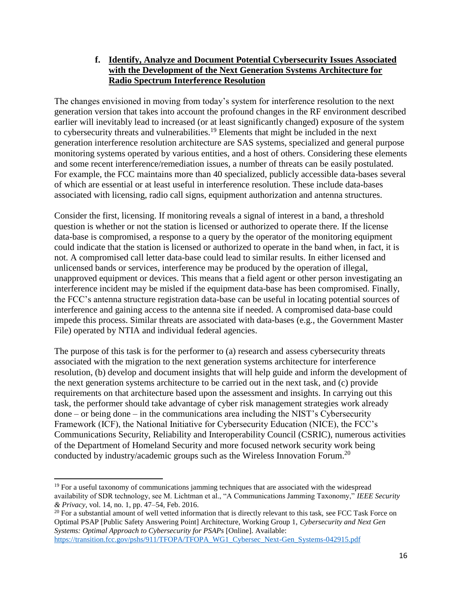#### **f. Identify, Analyze and Document Potential Cybersecurity Issues Associated with the Development of the Next Generation Systems Architecture for Radio Spectrum Interference Resolution**

The changes envisioned in moving from today's system for interference resolution to the next generation version that takes into account the profound changes in the RF environment described earlier will inevitably lead to increased (or at least significantly changed) exposure of the system to cybersecurity threats and vulnerabilities.<sup>19</sup> Elements that might be included in the next generation interference resolution architecture are SAS systems, specialized and general purpose monitoring systems operated by various entities, and a host of others. Considering these elements and some recent interference/remediation issues, a number of threats can be easily postulated. For example, the FCC maintains more than 40 specialized, publicly accessible data-bases several of which are essential or at least useful in interference resolution. These include data-bases associated with licensing, radio call signs, equipment authorization and antenna structures.

Consider the first, licensing. If monitoring reveals a signal of interest in a band, a threshold question is whether or not the station is licensed or authorized to operate there. If the license data-base is compromised, a response to a query by the operator of the monitoring equipment could indicate that the station is licensed or authorized to operate in the band when, in fact, it is not. A compromised call letter data-base could lead to similar results. In either licensed and unlicensed bands or services, interference may be produced by the operation of illegal, unapproved equipment or devices. This means that a field agent or other person investigating an interference incident may be misled if the equipment data-base has been compromised. Finally, the FCC's antenna structure registration data-base can be useful in locating potential sources of interference and gaining access to the antenna site if needed. A compromised data-base could impede this process. Similar threats are associated with data-bases (e.g., the Government Master File) operated by NTIA and individual federal agencies.

The purpose of this task is for the performer to (a) research and assess cybersecurity threats associated with the migration to the next generation systems architecture for interference resolution, (b) develop and document insights that will help guide and inform the development of the next generation systems architecture to be carried out in the next task, and (c) provide requirements on that architecture based upon the assessment and insights. In carrying out this task, the performer should take advantage of cyber risk management strategies work already done – or being done – in the communications area including the NIST's Cybersecurity Framework (ICF), the National Initiative for Cybersecurity Education (NICE), the FCC's Communications Security, Reliability and Interoperability Council (CSRIC), numerous activities of the Department of Homeland Security and more focused network security work being conducted by industry/academic groups such as the Wireless Innovation Forum.<sup>20</sup>

<sup>&</sup>lt;sup>19</sup> For a useful taxonomy of communications jamming techniques that are associated with the widespread availability of SDR technology, see M. Lichtman et al., "A Communications Jamming Taxonomy," *IEEE Security & Privacy,* vol. 14, no. 1, pp. 47–54, Feb. 2016.

<sup>&</sup>lt;sup>20</sup> For a substantial amount of well vetted information that is directly relevant to this task, see FCC Task Force on Optimal PSAP [Public Safety Answering Point] Architecture, Working Group 1, *Cybersecurity and Next Gen Systems: Optimal Approach to Cybersecurity for PSAPs* [Online]. Available: [https://transition.fcc.gov/pshs/911/TFOPA/TFOPA\\_WG1\\_Cybersec\\_Next-Gen\\_Systems-042915.pdf](https://transition.fcc.gov/pshs/911/TFOPA/TFOPA_WG1_Cybersec_Next-Gen_Systems-042915.pdf)